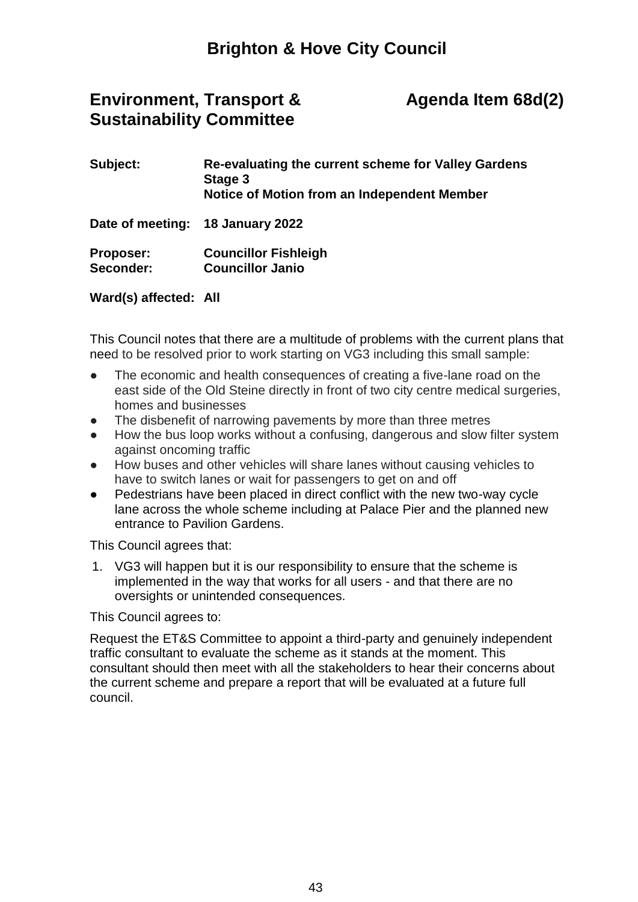## **Brighton & Hove City Council**

## **Environment, Transport & Sustainability Committee**

## **Agenda Item 68d(2)**

| Subject:                      | Re-evaluating the current scheme for Valley Gardens<br>Stage 3<br>Notice of Motion from an Independent Member |
|-------------------------------|---------------------------------------------------------------------------------------------------------------|
|                               | Date of meeting: 18 January 2022                                                                              |
| <b>Proposer:</b><br>Seconder: | <b>Councillor Fishleigh</b><br><b>Councillor Janio</b>                                                        |

**Ward(s) affected: All** 

This Council notes that there are a multitude of problems with the current plans that need to be resolved prior to work starting on VG3 including this small sample:

- The economic and health consequences of creating a five-lane road on the east side of the Old Steine directly in front of two city centre medical surgeries, homes and businesses
- The disbenefit of narrowing pavements by more than three metres
- How the bus loop works without a confusing, dangerous and slow filter system against oncoming traffic
- How buses and other vehicles will share lanes without causing vehicles to have to switch lanes or wait for passengers to get on and off
- Pedestrians have been placed in direct conflict with the new two-way cycle lane across the whole scheme including at Palace Pier and the planned new entrance to Pavilion Gardens.

This Council agrees that:

1. VG3 will happen but it is our responsibility to ensure that the scheme is implemented in the way that works for all users - and that there are no oversights or unintended consequences.

This Council agrees to:

Request the ET&S Committee to appoint a third-party and genuinely independent traffic consultant to evaluate the scheme as it stands at the moment. This consultant should then meet with all the stakeholders to hear their concerns about the current scheme and prepare a report that will be evaluated at a future full council.